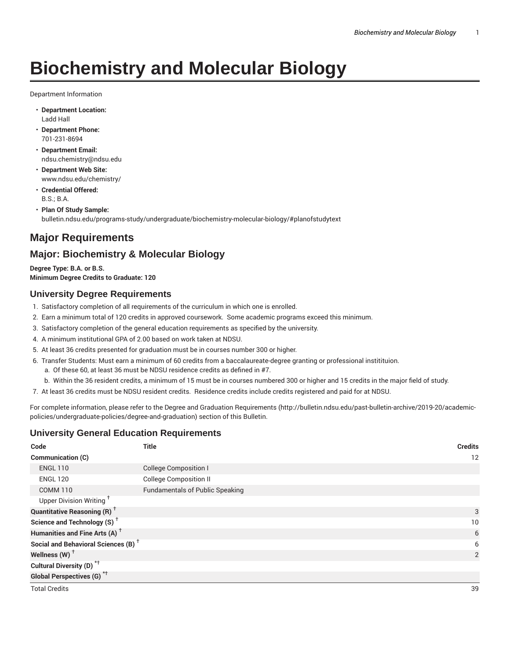# **Biochemistry and Molecular Biology**

Department Information

- **Department Location:** Ladd Hall
- **Department Phone:** 701-231-8694
- **Department Email:** ndsu.chemistry@ndsu.edu
- **Department Web Site:** www.ndsu.edu/chemistry/
- **Credential Offered:** B.S.; B.A.
- **Plan Of Study Sample:** bulletin.ndsu.edu/programs-study/undergraduate/biochemistry-molecular-biology/#planofstudytext

# **Major Requirements**

# **Major: Biochemistry & Molecular Biology**

**Degree Type: B.A. or B.S. Minimum Degree Credits to Graduate: 120**

# **University Degree Requirements**

- 1. Satisfactory completion of all requirements of the curriculum in which one is enrolled.
- 2. Earn a minimum total of 120 credits in approved coursework. Some academic programs exceed this minimum.
- 3. Satisfactory completion of the general education requirements as specified by the university.
- 4. A minimum institutional GPA of 2.00 based on work taken at NDSU.
- 5. At least 36 credits presented for graduation must be in courses number 300 or higher.
- 6. Transfer Students: Must earn a minimum of 60 credits from a baccalaureate-degree granting or professional institituion.
	- a. Of these 60, at least 36 must be NDSU residence credits as defined in #7.
	- b. Within the 36 resident credits, a minimum of 15 must be in courses numbered 300 or higher and 15 credits in the major field of study.
- 7. At least 36 credits must be NDSU resident credits. Residence credits include credits registered and paid for at NDSU.

For complete information, please refer to the Degree and Graduation Requirements (http://bulletin.ndsu.edu/past-bulletin-archive/2019-20/academicpolicies/undergraduate-policies/degree-and-graduation) section of this Bulletin.

# **University General Education Requirements**

| Code                                            | <b>Title</b>                           | <b>Credits</b> |
|-------------------------------------------------|----------------------------------------|----------------|
| Communication (C)                               |                                        | 12             |
| <b>ENGL 110</b>                                 | <b>College Composition I</b>           |                |
| <b>ENGL 120</b>                                 | <b>College Composition II</b>          |                |
| <b>COMM 110</b>                                 | <b>Fundamentals of Public Speaking</b> |                |
| Upper Division Writing <sup>+</sup>             |                                        |                |
| <b>Quantitative Reasoning (R)</b> <sup>+</sup>  |                                        | 3              |
| Science and Technology (S) <sup>+</sup>         |                                        | 10             |
| Humanities and Fine Arts (A) <sup>+</sup>       |                                        | 6              |
| Social and Behavioral Sciences (B) <sup>+</sup> |                                        | 6              |
| Wellness $(W)$ <sup>+</sup>                     |                                        | $\overline{2}$ |
| Cultural Diversity (D) <sup>*†</sup>            |                                        |                |
| <b>Global Perspectives (G)</b> <sup>*†</sup>    |                                        |                |
| <b>Total Credits</b>                            |                                        | 39             |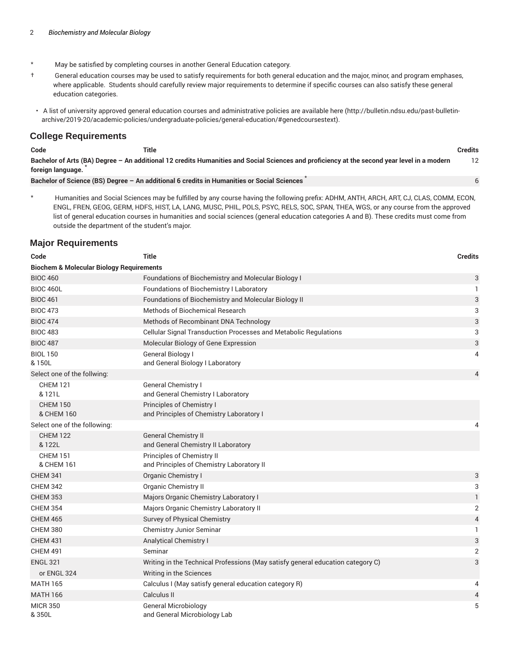- \* May be satisfied by completing courses in another General Education category.
- † General education courses may be used to satisfy requirements for both general education and the major, minor, and program emphases, where applicable. Students should carefully review major requirements to determine if specific courses can also satisfy these general education categories.
- A list of university approved general education courses and administrative policies are available here (http://bulletin.ndsu.edu/past-bulletinarchive/2019-20/academic-policies/undergraduate-policies/general-education/#genedcoursestext).

#### **College Requirements**

| Code<br>Title<br>___<br>. | <b>Credits</b><br>. |
|---------------------------|---------------------|
|---------------------------|---------------------|

6

Bachelor of Arts (BA) Degree - An additional 12 credits Humanities and Social Sciences and proficiency at the second year level in a modern **foreign language.** \* 12

**Bachelor of Science (BS) Degree – An additional 6 credits in Humanities or Social Sciences** \*

\* Humanities and Social Sciences may be fulfilled by any course having the following prefix: ADHM, ANTH, ARCH, ART, CJ, CLAS, COMM, ECON, ENGL, FREN, GEOG, GERM, HDFS, HIST, LA, LANG, MUSC, PHIL, POLS, PSYC, RELS, SOC, SPAN, THEA, WGS, or any course from the approved list of general education courses in humanities and social sciences (general education categories A and B). These credits must come from outside the department of the student's major.

### **Major Requirements**

| Code                                                | <b>Title</b>                                                                    | <b>Credits</b>            |
|-----------------------------------------------------|---------------------------------------------------------------------------------|---------------------------|
| <b>Biochem &amp; Molecular Biology Requirements</b> |                                                                                 |                           |
| <b>BIOC 460</b>                                     | Foundations of Biochemistry and Molecular Biology I                             | 3                         |
| <b>BIOC 460L</b>                                    | Foundations of Biochemistry I Laboratory                                        | 1                         |
| <b>BIOC 461</b>                                     | Foundations of Biochemistry and Molecular Biology II                            | $\ensuremath{\mathsf{3}}$ |
| <b>BIOC 473</b>                                     | <b>Methods of Biochemical Research</b>                                          | 3                         |
| <b>BIOC 474</b>                                     | Methods of Recombinant DNA Technology                                           | 3                         |
| <b>BIOC 483</b>                                     | Cellular Signal Transduction Processes and Metabolic Regulations                | 3                         |
| <b>BIOC 487</b>                                     | Molecular Biology of Gene Expression                                            | 3                         |
| <b>BIOL 150</b><br>& 150L                           | General Biology I<br>and General Biology I Laboratory                           | 4                         |
| Select one of the follwing:                         |                                                                                 | 4                         |
| <b>CHEM 121</b><br>& 121L                           | General Chemistry I<br>and General Chemistry I Laboratory                       |                           |
| <b>CHEM 150</b><br>& CHEM 160                       | Principles of Chemistry I<br>and Principles of Chemistry Laboratory I           |                           |
| Select one of the following:                        |                                                                                 | 4                         |
| <b>CHEM 122</b><br>& 122L                           | <b>General Chemistry II</b><br>and General Chemistry II Laboratory              |                           |
| <b>CHEM 151</b><br>& CHEM 161                       | Principles of Chemistry II<br>and Principles of Chemistry Laboratory II         |                           |
| <b>CHEM 341</b>                                     | Organic Chemistry I                                                             | 3                         |
| <b>CHEM 342</b>                                     | Organic Chemistry II                                                            | 3                         |
| <b>CHEM 353</b>                                     | Majors Organic Chemistry Laboratory I                                           | $\mathbf{1}$              |
| <b>CHEM 354</b>                                     | Majors Organic Chemistry Laboratory II                                          | $\overline{2}$            |
| <b>CHEM 465</b>                                     | Survey of Physical Chemistry                                                    | $\overline{4}$            |
| <b>CHEM 380</b>                                     | Chemistry Junior Seminar                                                        | 1                         |
| <b>CHEM 431</b>                                     | <b>Analytical Chemistry I</b>                                                   | 3                         |
| <b>CHEM 491</b>                                     | Seminar                                                                         | $\overline{2}$            |
| <b>ENGL 321</b>                                     | Writing in the Technical Professions (May satisfy general education category C) | 3                         |
| or ENGL 324                                         | Writing in the Sciences                                                         |                           |
| <b>MATH 165</b>                                     | Calculus I (May satisfy general education category R)                           | 4                         |
| <b>MATH 166</b>                                     | Calculus II                                                                     | 4                         |
| <b>MICR 350</b><br>&350L                            | <b>General Microbiology</b><br>and General Microbiology Lab                     | 5                         |